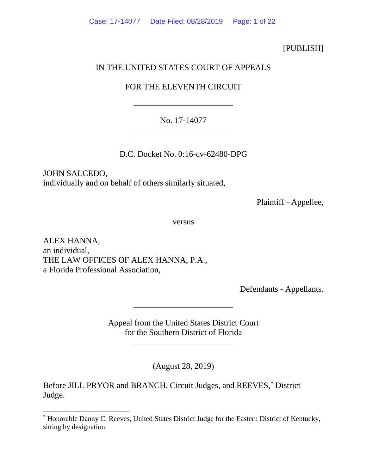## [PUBLISH]

## IN THE UNITED STATES COURT OF APPEALS

# FOR THE ELEVENTH CIRCUIT

## No. 17-14077

D.C. Docket No. 0:16-cv-62480-DPG

JOHN SALCEDO, individually and on behalf of others similarly situated,

Plaintiff - Appellee,

versus

ALEX HANNA, an individual, THE LAW OFFICES OF ALEX HANNA, P.A., a Florida Professional Association,

Defendants - Appellants.

Appeal from the United States District Court for the Southern District of Florida

(August 28, 2019)

Before JILL PRYOR and BRANCH, Circuit Judges, and REEVES,[\\*](#page-0-0) District Judge.

<span id="page-0-0"></span><sup>\*</sup> Honorable Danny C. Reeves, United States District Judge for the Eastern District of Kentucky, sitting by designation.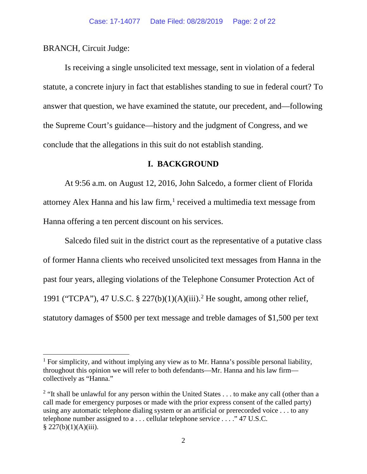BRANCH, Circuit Judge:

Is receiving a single unsolicited text message, sent in violation of a federal statute, a concrete injury in fact that establishes standing to sue in federal court? To answer that question, we have examined the statute, our precedent, and—following the Supreme Court's guidance—history and the judgment of Congress, and we conclude that the allegations in this suit do not establish standing.

### **I. BACKGROUND**

At 9:56 a.m. on August 12, 2016, John Salcedo, a former client of Florida attorney Alex Hanna and his law firm, $<sup>1</sup>$  $<sup>1</sup>$  $<sup>1</sup>$  received a multimedia text message from</sup> Hanna offering a ten percent discount on his services.

Salcedo filed suit in the district court as the representative of a putative class of former Hanna clients who received unsolicited text messages from Hanna in the past four years, alleging violations of the Telephone Consumer Protection Act of 1991 ("TCPA"), 47 U.S.C. § 227(b)(1)(A)(iii). [2](#page-1-1) He sought, among other relief, statutory damages of \$500 per text message and treble damages of \$1,500 per text

<span id="page-1-0"></span><sup>&</sup>lt;sup>1</sup> For simplicity, and without implying any view as to Mr. Hanna's possible personal liability, throughout this opinion we will refer to both defendants—Mr. Hanna and his law firm collectively as "Hanna."

<span id="page-1-1"></span><sup>&</sup>lt;sup>2</sup> "It shall be unlawful for any person within the United States  $\dots$  to make any call (other than a call made for emergency purposes or made with the prior express consent of the called party) using any automatic telephone dialing system or an artificial or prerecorded voice . . . to any telephone number assigned to a . . . cellular telephone service . . . ." 47 U.S.C.  $§ 227(b)(1)(A)(iii).$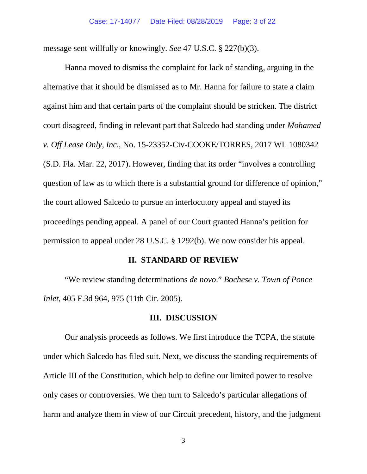message sent willfully or knowingly. *See* 47 U.S.C. § 227(b)(3).

Hanna moved to dismiss the complaint for lack of standing, arguing in the alternative that it should be dismissed as to Mr. Hanna for failure to state a claim against him and that certain parts of the complaint should be stricken. The district court disagreed, finding in relevant part that Salcedo had standing under *Mohamed v. Off Lease Only, Inc.*, No. 15-23352-Civ-COOKE/TORRES, 2017 WL 1080342 (S.D. Fla. Mar. 22, 2017). However, finding that its order "involves a controlling question of law as to which there is a substantial ground for difference of opinion," the court allowed Salcedo to pursue an interlocutory appeal and stayed its proceedings pending appeal. A panel of our Court granted Hanna's petition for permission to appeal under 28 U.S.C. § 1292(b). We now consider his appeal.

#### **II. STANDARD OF REVIEW**

"We review standing determinations *de novo*." *Bochese v. Town of Ponce Inlet*, 405 F.3d 964, 975 (11th Cir. 2005).

### **III. DISCUSSION**

Our analysis proceeds as follows. We first introduce the TCPA, the statute under which Salcedo has filed suit. Next, we discuss the standing requirements of Article III of the Constitution, which help to define our limited power to resolve only cases or controversies. We then turn to Salcedo's particular allegations of harm and analyze them in view of our Circuit precedent, history, and the judgment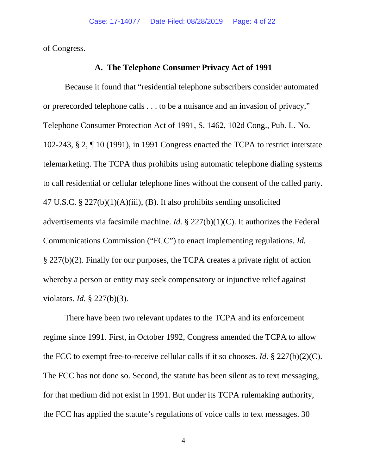of Congress.

### **A. The Telephone Consumer Privacy Act of 1991**

Because it found that "residential telephone subscribers consider automated or prerecorded telephone calls . . . to be a nuisance and an invasion of privacy," Telephone Consumer Protection Act of 1991, S. 1462, 102d Cong., Pub. L. No. 102-243, § 2, ¶ 10 (1991), in 1991 Congress enacted the TCPA to restrict interstate telemarketing. The TCPA thus prohibits using automatic telephone dialing systems to call residential or cellular telephone lines without the consent of the called party. 47 U.S.C. § 227(b)(1)(A)(iii), (B). It also prohibits sending unsolicited advertisements via facsimile machine. *Id.* § 227(b)(1)(C). It authorizes the Federal Communications Commission ("FCC") to enact implementing regulations. *Id.* § 227(b)(2). Finally for our purposes, the TCPA creates a private right of action whereby a person or entity may seek compensatory or injunctive relief against violators. *Id.* § 227(b)(3).

There have been two relevant updates to the TCPA and its enforcement regime since 1991. First, in October 1992, Congress amended the TCPA to allow the FCC to exempt free-to-receive cellular calls if it so chooses. *Id.* § 227(b)(2)(C). The FCC has not done so. Second, the statute has been silent as to text messaging, for that medium did not exist in 1991. But under its TCPA rulemaking authority, the FCC has applied the statute's regulations of voice calls to text messages. 30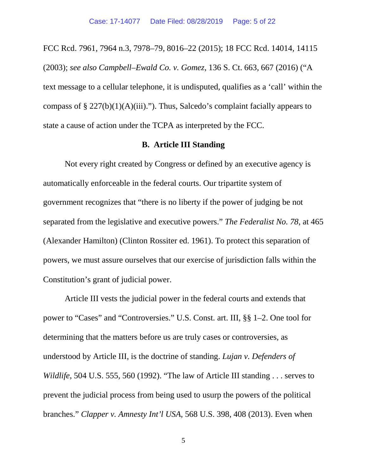FCC Rcd. 7961, 7964 n.3, 7978–79, 8016–22 (2015); 18 FCC Rcd. 14014, 14115 (2003); *see also Campbell–Ewald Co. v. Gomez*, 136 S. Ct. 663, 667 (2016) ("A text message to a cellular telephone, it is undisputed, qualifies as a 'call' within the compass of  $\S 227(b)(1)(A)(iii)$ ."). Thus, Salcedo's complaint facially appears to state a cause of action under the TCPA as interpreted by the FCC.

### **B. Article III Standing**

Not every right created by Congress or defined by an executive agency is automatically enforceable in the federal courts. Our tripartite system of government recognizes that "there is no liberty if the power of judging be not separated from the legislative and executive powers." *The Federalist No. 78*, at 465 (Alexander Hamilton) (Clinton Rossiter ed. 1961). To protect this separation of powers, we must assure ourselves that our exercise of jurisdiction falls within the Constitution's grant of judicial power.

Article III vests the judicial power in the federal courts and extends that power to "Cases" and "Controversies." U.S. Const*.* art. III, §§ 1–2. One tool for determining that the matters before us are truly cases or controversies, as understood by Article III, is the doctrine of standing. *Lujan v. Defenders of Wildlife*, 504 U.S. 555, 560 (1992). "The law of Article III standing . . . serves to prevent the judicial process from being used to usurp the powers of the political branches." *Clapper v. Amnesty Int'l USA*, 568 U.S. 398, 408 (2013). Even when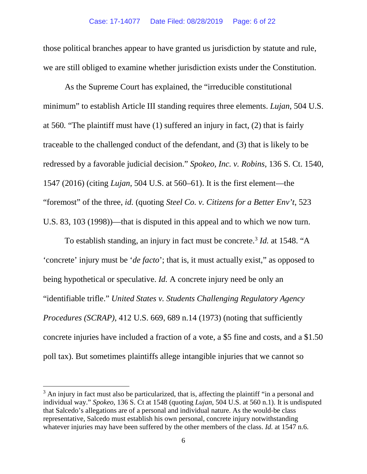those political branches appear to have granted us jurisdiction by statute and rule, we are still obliged to examine whether jurisdiction exists under the Constitution.

As the Supreme Court has explained, the "irreducible constitutional minimum" to establish Article III standing requires three elements. *Lujan*, 504 U.S. at 560*.* "The plaintiff must have (1) suffered an injury in fact, (2) that is fairly traceable to the challenged conduct of the defendant, and (3) that is likely to be redressed by a favorable judicial decision." *Spokeo, Inc. v. Robins*, 136 S. Ct. 1540, 1547 (2016) (citing *Lujan*, 504 U.S. at 560–61). It is the first element—the "foremost" of the three, *id.* (quoting *Steel Co. v. Citizens for a Better Env't*, 523 U.S. 83, 103 (1998))—that is disputed in this appeal and to which we now turn.

To establish standing, an injury in fact must be concrete.<sup>3</sup> *Id.* at 1548. "A 'concrete' injury must be '*de facto*'; that is, it must actually exist," as opposed to being hypothetical or speculative. *Id.* A concrete injury need be only an "identifiable trifle." *United States v. Students Challenging Regulatory Agency Procedures (SCRAP)*, 412 U.S. 669, 689 n.14 (1973) (noting that sufficiently concrete injuries have included a fraction of a vote, a \$5 fine and costs, and a \$1.50 poll tax). But sometimes plaintiffs allege intangible injuries that we cannot so

<span id="page-5-0"></span> $3$  An injury in fact must also be particularized, that is, affecting the plaintiff "in a personal and individual way." *Spokeo*, 136 S. Ct at 1548 (quoting *Lujan*, 504 U.S. at 560 n.1). It is undisputed that Salcedo's allegations are of a personal and individual nature. As the would-be class representative, Salcedo must establish his own personal, concrete injury notwithstanding whatever injuries may have been suffered by the other members of the class. *Id.* at 1547 n.6.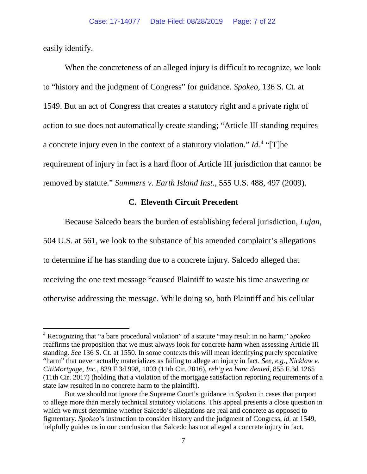easily identify.

When the concreteness of an alleged injury is difficult to recognize, we look to "history and the judgment of Congress" for guidance. *Spokeo*, 136 S. Ct. at 1549. But an act of Congress that creates a statutory right and a private right of action to sue does not automatically create standing; "Article III standing requires a concrete injury even in the context of a statutory violation." *Id.*[4](#page-6-0) "[T]he requirement of injury in fact is a hard floor of Article III jurisdiction that cannot be removed by statute." *Summers v. Earth Island Inst.*, 555 U.S. 488, 497 (2009).

# **C. Eleventh Circuit Precedent**

Because Salcedo bears the burden of establishing federal jurisdiction, *Lujan*, 504 U.S. at 561, we look to the substance of his amended complaint's allegations to determine if he has standing due to a concrete injury. Salcedo alleged that receiving the one text message "caused Plaintiff to waste his time answering or otherwise addressing the message. While doing so, both Plaintiff and his cellular

<span id="page-6-0"></span><sup>4</sup> Recognizing that "a bare procedural violation" of a statute "may result in no harm," *Spokeo* reaffirms the proposition that we must always look for concrete harm when assessing Article III standing. *See* 136 S. Ct. at 1550. In some contexts this will mean identifying purely speculative "harm" that never actually materializes as failing to allege an injury in fact. *See, e.g.*, *Nicklaw v. CitiMortgage, Inc.*, 839 F.3d 998, 1003 (11th Cir. 2016), *reh'g en banc denied*, 855 F.3d 1265 (11th Cir. 2017) (holding that a violation of the mortgage satisfaction reporting requirements of a state law resulted in no concrete harm to the plaintiff).

But we should not ignore the Supreme Court's guidance in *Spokeo* in cases that purport to allege more than merely technical statutory violations. This appeal presents a close question in which we must determine whether Salcedo's allegations are real and concrete as opposed to figmentary. *Spokeo*'s instruction to consider history and the judgment of Congress, *id.* at 1549, helpfully guides us in our conclusion that Salcedo has not alleged a concrete injury in fact.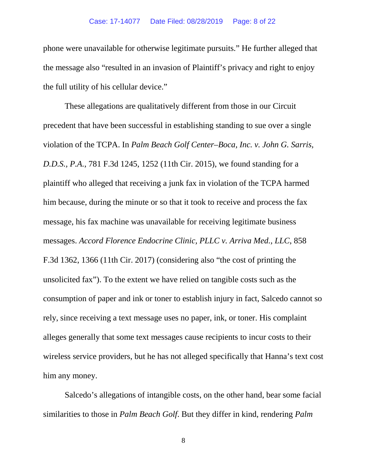phone were unavailable for otherwise legitimate pursuits." He further alleged that the message also "resulted in an invasion of Plaintiff's privacy and right to enjoy the full utility of his cellular device."

These allegations are qualitatively different from those in our Circuit precedent that have been successful in establishing standing to sue over a single violation of the TCPA. In *Palm Beach Golf Center–Boca, Inc. v. John G. Sarris, D.D.S., P.A.*, 781 F.3d 1245, 1252 (11th Cir. 2015), we found standing for a plaintiff who alleged that receiving a junk fax in violation of the TCPA harmed him because, during the minute or so that it took to receive and process the fax message, his fax machine was unavailable for receiving legitimate business messages. *Accord Florence Endocrine Clinic, PLLC v. Arriva Med., LLC*, 858 F.3d 1362, 1366 (11th Cir. 2017) (considering also "the cost of printing the unsolicited fax"). To the extent we have relied on tangible costs such as the consumption of paper and ink or toner to establish injury in fact, Salcedo cannot so rely, since receiving a text message uses no paper, ink, or toner. His complaint alleges generally that some text messages cause recipients to incur costs to their wireless service providers, but he has not alleged specifically that Hanna's text cost him any money.

Salcedo's allegations of intangible costs, on the other hand, bear some facial similarities to those in *Palm Beach Golf*. But they differ in kind, rendering *Palm* 

8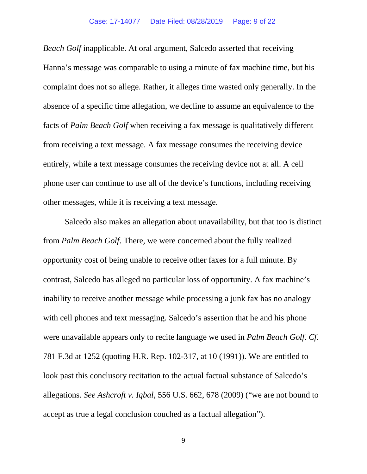*Beach Golf* inapplicable. At oral argument, Salcedo asserted that receiving Hanna's message was comparable to using a minute of fax machine time, but his complaint does not so allege. Rather, it alleges time wasted only generally. In the absence of a specific time allegation, we decline to assume an equivalence to the facts of *Palm Beach Golf* when receiving a fax message is qualitatively different from receiving a text message. A fax message consumes the receiving device entirely, while a text message consumes the receiving device not at all. A cell phone user can continue to use all of the device's functions, including receiving other messages, while it is receiving a text message.

Salcedo also makes an allegation about unavailability, but that too is distinct from *Palm Beach Golf*. There, we were concerned about the fully realized opportunity cost of being unable to receive other faxes for a full minute. By contrast, Salcedo has alleged no particular loss of opportunity. A fax machine's inability to receive another message while processing a junk fax has no analogy with cell phones and text messaging. Salcedo's assertion that he and his phone were unavailable appears only to recite language we used in *Palm Beach Golf*. *Cf.* 781 F.3d at 1252 (quoting H.R. Rep. 102-317, at 10 (1991)). We are entitled to look past this conclusory recitation to the actual factual substance of Salcedo's allegations. *See Ashcroft v. Iqbal*, 556 U.S. 662, 678 (2009) ("we are not bound to accept as true a legal conclusion couched as a factual allegation").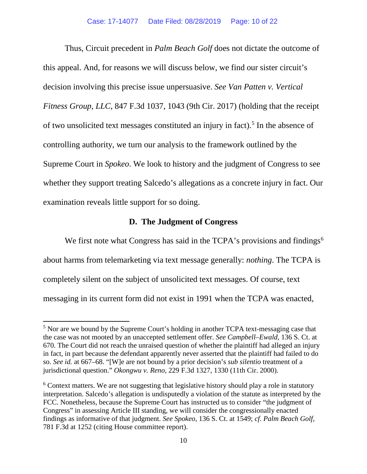Thus, Circuit precedent in *Palm Beach Golf* does not dictate the outcome of this appeal. And, for reasons we will discuss below, we find our sister circuit's decision involving this precise issue unpersuasive. *See Van Patten v. Vertical Fitness Group, LLC*, 847 F.3d 1037, 1043 (9th Cir. 2017) (holding that the receipt of two unsolicited text messages constituted an injury in fact). [5](#page-9-0) In the absence of controlling authority, we turn our analysis to the framework outlined by the Supreme Court in *Spokeo*. We look to history and the judgment of Congress to see whether they support treating Salcedo's allegations as a concrete injury in fact. Our examination reveals little support for so doing.

### **D. The Judgment of Congress**

We first note what Congress has said in the TCPA's provisions and findings<sup>6</sup> about harms from telemarketing via text message generally: *nothing*. The TCPA is completely silent on the subject of unsolicited text messages. Of course, text messaging in its current form did not exist in 1991 when the TCPA was enacted,

<span id="page-9-0"></span><sup>&</sup>lt;sup>5</sup> Nor are we bound by the Supreme Court's holding in another TCPA text-messaging case that the case was not mooted by an unaccepted settlement offer. *See Campbell–Ewald*, 136 S. Ct. at 670. The Court did not reach the unraised question of whether the plaintiff had alleged an injury in fact, in part because the defendant apparently never asserted that the plaintiff had failed to do so. *See id.* at 667–68. "[W]e are not bound by a prior decision's *sub silentio* treatment of a jurisdictional question." *Okongwu v. Reno*, 229 F.3d 1327, 1330 (11th Cir. 2000).

<span id="page-9-1"></span> $6$  Context matters. We are not suggesting that legislative history should play a role in statutory interpretation. Salcedo's allegation is undisputedly a violation of the statute as interpreted by the FCC. Nonetheless, because the Supreme Court has instructed us to consider "the judgment of Congress" in assessing Article III standing, we will consider the congressionally enacted findings as informative of that judgment. *See Spokeo*, 136 S. Ct. at 1549; *cf. Palm Beach Golf*, 781 F.3d at 1252 (citing House committee report).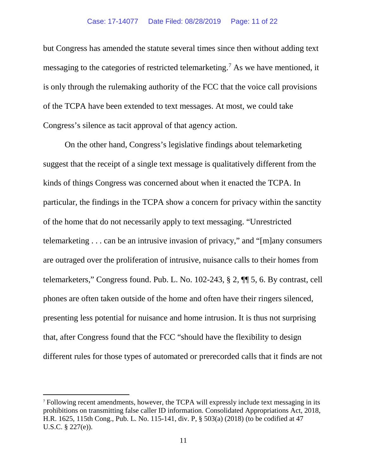but Congress has amended the statute several times since then without adding text messaging to the categories of restricted telemarketing.<sup>[7](#page-10-0)</sup> As we have mentioned, it is only through the rulemaking authority of the FCC that the voice call provisions of the TCPA have been extended to text messages. At most, we could take Congress's silence as tacit approval of that agency action.

On the other hand, Congress's legislative findings about telemarketing suggest that the receipt of a single text message is qualitatively different from the kinds of things Congress was concerned about when it enacted the TCPA. In particular, the findings in the TCPA show a concern for privacy within the sanctity of the home that do not necessarily apply to text messaging. "Unrestricted telemarketing . . . can be an intrusive invasion of privacy," and "[m]any consumers are outraged over the proliferation of intrusive, nuisance calls to their homes from telemarketers," Congress found. Pub. L. No. 102-243, § 2, ¶¶ 5, 6. By contrast, cell phones are often taken outside of the home and often have their ringers silenced, presenting less potential for nuisance and home intrusion. It is thus not surprising that, after Congress found that the FCC "should have the flexibility to design different rules for those types of automated or prerecorded calls that it finds are not

<span id="page-10-0"></span><sup>7</sup> Following recent amendments, however, the TCPA will expressly include text messaging in its prohibitions on transmitting false caller ID information. Consolidated Appropriations Act, 2018, H.R. 1625, 115th Cong., Pub. L. No. 115-141, div. P, § 503(a) (2018) (to be codified at 47 U.S.C. § 227(e)).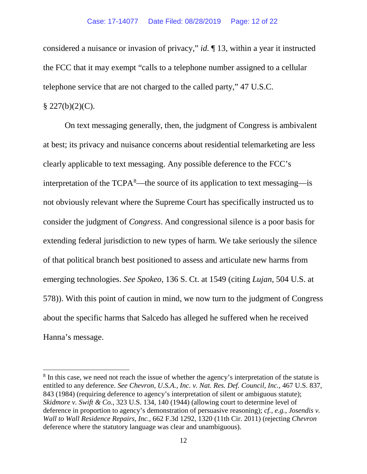considered a nuisance or invasion of privacy," *id.* ¶ 13, within a year it instructed the FCC that it may exempt "calls to a telephone number assigned to a cellular telephone service that are not charged to the called party," 47 U.S.C.

### $$227(b)(2)(C).$

On text messaging generally, then, the judgment of Congress is ambivalent at best; its privacy and nuisance concerns about residential telemarketing are less clearly applicable to text messaging. Any possible deference to the FCC's interpretation of the  $TCPA<sup>8</sup>$  $TCPA<sup>8</sup>$  $TCPA<sup>8</sup>$ —the source of its application to text messaging—is not obviously relevant where the Supreme Court has specifically instructed us to consider the judgment of *Congress*. And congressional silence is a poor basis for extending federal jurisdiction to new types of harm. We take seriously the silence of that political branch best positioned to assess and articulate new harms from emerging technologies. *See Spokeo*, 136 S. Ct. at 1549 (citing *Lujan*, 504 U.S. at 578)). With this point of caution in mind, we now turn to the judgment of Congress about the specific harms that Salcedo has alleged he suffered when he received Hanna's message.

<span id="page-11-0"></span><sup>&</sup>lt;sup>8</sup> In this case, we need not reach the issue of whether the agency's interpretation of the statute is entitled to any deference. *See Chevron, U.S.A., Inc. v. Nat. Res. Def. Council, Inc.*, 467 U.S. 837, 843 (1984) (requiring deference to agency's interpretation of silent or ambiguous statute); *Skidmore v. Swift & Co.*, 323 U.S. 134, 140 (1944) (allowing court to determine level of deference in proportion to agency's demonstration of persuasive reasoning); *cf., e.g.*, *Josendis v. Wall to Wall Residence Repairs, Inc.*, 662 F.3d 1292, 1320 (11th Cir. 2011) (rejecting *Chevron* deference where the statutory language was clear and unambiguous).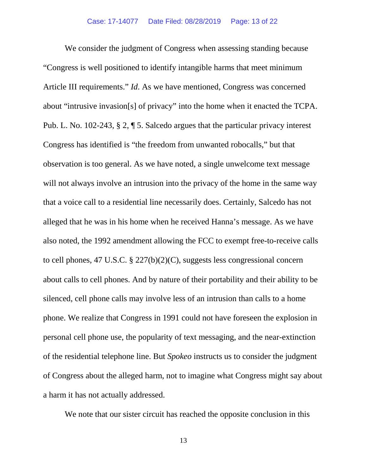We consider the judgment of Congress when assessing standing because "Congress is well positioned to identify intangible harms that meet minimum Article III requirements." *Id*. As we have mentioned, Congress was concerned about "intrusive invasion[s] of privacy" into the home when it enacted the TCPA. Pub. L. No. 102-243, § 2, ¶ 5. Salcedo argues that the particular privacy interest Congress has identified is "the freedom from unwanted robocalls," but that observation is too general. As we have noted, a single unwelcome text message will not always involve an intrusion into the privacy of the home in the same way that a voice call to a residential line necessarily does. Certainly, Salcedo has not alleged that he was in his home when he received Hanna's message. As we have also noted, the 1992 amendment allowing the FCC to exempt free-to-receive calls to cell phones, 47 U.S.C. § 227(b)(2)(C), suggests less congressional concern about calls to cell phones. And by nature of their portability and their ability to be silenced, cell phone calls may involve less of an intrusion than calls to a home phone. We realize that Congress in 1991 could not have foreseen the explosion in personal cell phone use, the popularity of text messaging, and the near-extinction of the residential telephone line. But *Spokeo* instructs us to consider the judgment of Congress about the alleged harm, not to imagine what Congress might say about a harm it has not actually addressed.

We note that our sister circuit has reached the opposite conclusion in this

13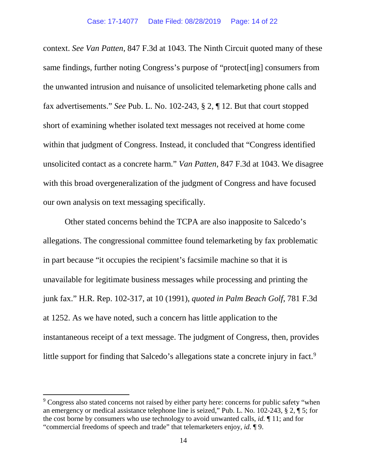context. *See Van Patten*, 847 F.3d at 1043. The Ninth Circuit quoted many of these same findings, further noting Congress's purpose of "protect[ing] consumers from the unwanted intrusion and nuisance of unsolicited telemarketing phone calls and fax advertisements." *See* Pub. L. No. 102-243, § 2, ¶ 12. But that court stopped short of examining whether isolated text messages not received at home come within that judgment of Congress. Instead, it concluded that "Congress identified unsolicited contact as a concrete harm." *Van Patten*, 847 F.3d at 1043. We disagree with this broad overgeneralization of the judgment of Congress and have focused our own analysis on text messaging specifically.

Other stated concerns behind the TCPA are also inapposite to Salcedo's allegations. The congressional committee found telemarketing by fax problematic in part because "it occupies the recipient's facsimile machine so that it is unavailable for legitimate business messages while processing and printing the junk fax." H.R. Rep. 102-317, at 10 (1991), *quoted in Palm Beach Golf*, 781 F.3d at 1252. As we have noted, such a concern has little application to the instantaneous receipt of a text message. The judgment of Congress, then, provides little support for finding that Salcedo's allegations state a concrete injury in fact.<sup>[9](#page-13-0)</sup>

<span id="page-13-0"></span><sup>&</sup>lt;sup>9</sup> Congress also stated concerns not raised by either party here: concerns for public safety "when an emergency or medical assistance telephone line is seized," Pub. L. No. 102-243, § 2, ¶ 5; for the cost borne by consumers who use technology to avoid unwanted calls, *id.* ¶ 11; and for "commercial freedoms of speech and trade" that telemarketers enjoy, *id.* ¶ 9.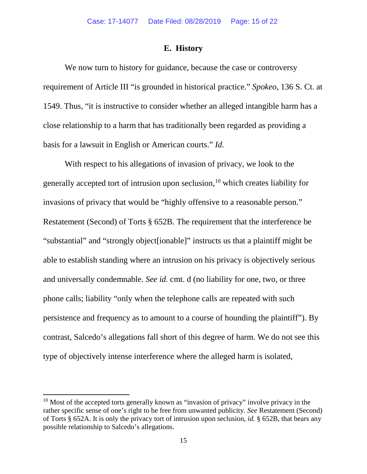#### **E. History**

We now turn to history for guidance, because the case or controversy requirement of Article III "is grounded in historical practice." *Spokeo*, 136 S. Ct. at 1549. Thus, "it is instructive to consider whether an alleged intangible harm has a close relationship to a harm that has traditionally been regarded as providing a basis for a lawsuit in English or American courts." *Id.*

With respect to his allegations of invasion of privacy, we look to the generally accepted tort of intrusion upon seclusion, $10$  which creates liability for invasions of privacy that would be "highly offensive to a reasonable person." Restatement (Second) of Torts § 652B. The requirement that the interference be "substantial" and "strongly object[ionable]" instructs us that a plaintiff might be able to establish standing where an intrusion on his privacy is objectively serious and universally condemnable. *See id.* cmt. d (no liability for one, two, or three phone calls; liability "only when the telephone calls are repeated with such persistence and frequency as to amount to a course of hounding the plaintiff"). By contrast, Salcedo's allegations fall short of this degree of harm. We do not see this type of objectively intense interference where the alleged harm is isolated,

<span id="page-14-0"></span> $10$  Most of the accepted torts generally known as "invasion of privacy" involve privacy in the rather specific sense of one's right to be free from unwanted publicity. *See* Restatement (Second) of Torts § 652A. It is only the privacy tort of intrusion upon seclusion, *id.* § 652B, that bears any possible relationship to Salcedo's allegations.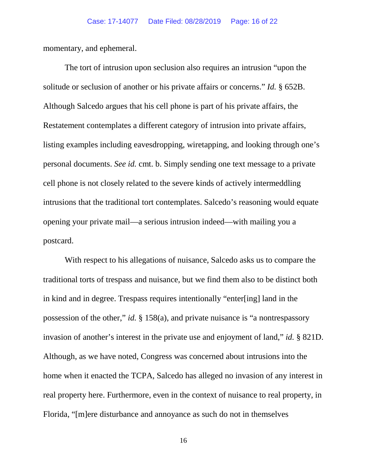momentary, and ephemeral.

The tort of intrusion upon seclusion also requires an intrusion "upon the solitude or seclusion of another or his private affairs or concerns." *Id.* § 652B. Although Salcedo argues that his cell phone is part of his private affairs, the Restatement contemplates a different category of intrusion into private affairs, listing examples including eavesdropping, wiretapping, and looking through one's personal documents. *See id.* cmt. b. Simply sending one text message to a private cell phone is not closely related to the severe kinds of actively intermeddling intrusions that the traditional tort contemplates. Salcedo's reasoning would equate opening your private mail—a serious intrusion indeed—with mailing you a postcard.

With respect to his allegations of nuisance, Salcedo asks us to compare the traditional torts of trespass and nuisance, but we find them also to be distinct both in kind and in degree. Trespass requires intentionally "enter[ing] land in the possession of the other," *id.* § 158(a), and private nuisance is "a nontrespassory invasion of another's interest in the private use and enjoyment of land," *id.* § 821D. Although, as we have noted, Congress was concerned about intrusions into the home when it enacted the TCPA, Salcedo has alleged no invasion of any interest in real property here. Furthermore, even in the context of nuisance to real property, in Florida, "[m]ere disturbance and annoyance as such do not in themselves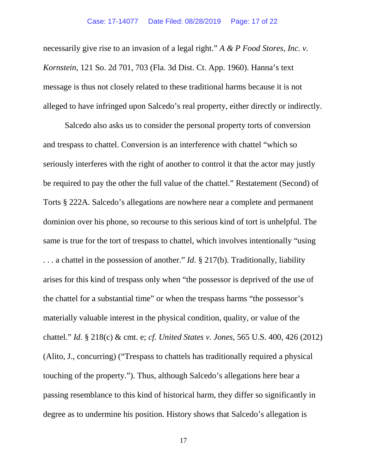necessarily give rise to an invasion of a legal right." *A & P Food Stores, Inc. v. Kornstein*, 121 So. 2d 701, 703 (Fla. 3d Dist. Ct. App. 1960). Hanna's text message is thus not closely related to these traditional harms because it is not alleged to have infringed upon Salcedo's real property, either directly or indirectly.

Salcedo also asks us to consider the personal property torts of conversion and trespass to chattel. Conversion is an interference with chattel "which so seriously interferes with the right of another to control it that the actor may justly be required to pay the other the full value of the chattel." Restatement (Second) of Torts § 222A. Salcedo's allegations are nowhere near a complete and permanent dominion over his phone, so recourse to this serious kind of tort is unhelpful. The same is true for the tort of trespass to chattel, which involves intentionally "using . . . a chattel in the possession of another." *Id.* § 217(b). Traditionally, liability arises for this kind of trespass only when "the possessor is deprived of the use of the chattel for a substantial time" or when the trespass harms "the possessor's materially valuable interest in the physical condition, quality, or value of the chattel." *Id.* § 218(c) & cmt. e; *cf. United States v. Jones*, 565 U.S. 400, 426 (2012) (Alito, J., concurring) ("Trespass to chattels has traditionally required a physical touching of the property."). Thus, although Salcedo's allegations here bear a passing resemblance to this kind of historical harm, they differ so significantly in degree as to undermine his position. History shows that Salcedo's allegation is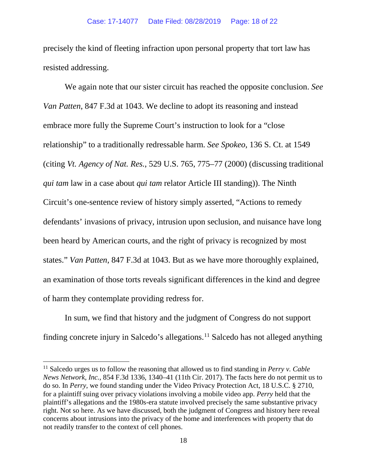precisely the kind of fleeting infraction upon personal property that tort law has resisted addressing.

We again note that our sister circuit has reached the opposite conclusion. *See Van Patten*, 847 F.3d at 1043. We decline to adopt its reasoning and instead embrace more fully the Supreme Court's instruction to look for a "close relationship" to a traditionally redressable harm. *See Spokeo*, 136 S. Ct. at 1549 (citing *Vt. Agency of Nat. Res.*, 529 U.S. 765, 775–77 (2000) (discussing traditional *qui tam* law in a case about *qui tam* relator Article III standing)). The Ninth Circuit's one-sentence review of history simply asserted, "Actions to remedy defendants' invasions of privacy, intrusion upon seclusion, and nuisance have long been heard by American courts, and the right of privacy is recognized by most states." *Van Patten*, 847 F.3d at 1043. But as we have more thoroughly explained, an examination of those torts reveals significant differences in the kind and degree of harm they contemplate providing redress for.

In sum, we find that history and the judgment of Congress do not support finding concrete injury in Salcedo's allegations. [11](#page-17-0) Salcedo has not alleged anything

<span id="page-17-0"></span><sup>11</sup> Salcedo urges us to follow the reasoning that allowed us to find standing in *Perry v. Cable News Network, Inc.*, 854 F.3d 1336, 1340–41 (11th Cir. 2017). The facts here do not permit us to do so. In *Perry*, we found standing under the Video Privacy Protection Act, 18 U.S.C. § 2710, for a plaintiff suing over privacy violations involving a mobile video app. *Perry* held that the plaintiff's allegations and the 1980s-era statute involved precisely the same substantive privacy right. Not so here. As we have discussed, both the judgment of Congress and history here reveal concerns about intrusions into the privacy of the home and interferences with property that do not readily transfer to the context of cell phones.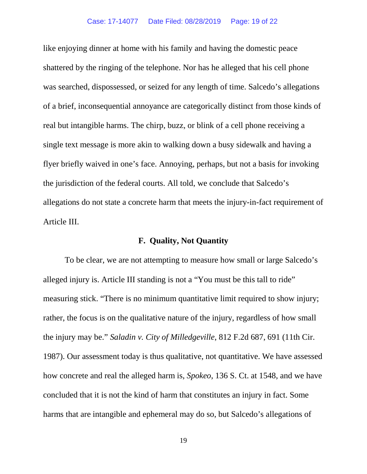like enjoying dinner at home with his family and having the domestic peace shattered by the ringing of the telephone. Nor has he alleged that his cell phone was searched, dispossessed, or seized for any length of time. Salcedo's allegations of a brief, inconsequential annoyance are categorically distinct from those kinds of real but intangible harms. The chirp, buzz, or blink of a cell phone receiving a single text message is more akin to walking down a busy sidewalk and having a flyer briefly waived in one's face. Annoying, perhaps, but not a basis for invoking the jurisdiction of the federal courts. All told, we conclude that Salcedo's allegations do not state a concrete harm that meets the injury-in-fact requirement of Article III.

### **F. Quality, Not Quantity**

To be clear, we are not attempting to measure how small or large Salcedo's alleged injury is. Article III standing is not a "You must be this tall to ride" measuring stick. "There is no minimum quantitative limit required to show injury; rather, the focus is on the qualitative nature of the injury, regardless of how small the injury may be." *Saladin v. City of Milledgeville*, 812 F.2d 687, 691 (11th Cir. 1987). Our assessment today is thus qualitative, not quantitative. We have assessed how concrete and real the alleged harm is, *Spokeo*, 136 S. Ct. at 1548, and we have concluded that it is not the kind of harm that constitutes an injury in fact. Some harms that are intangible and ephemeral may do so, but Salcedo's allegations of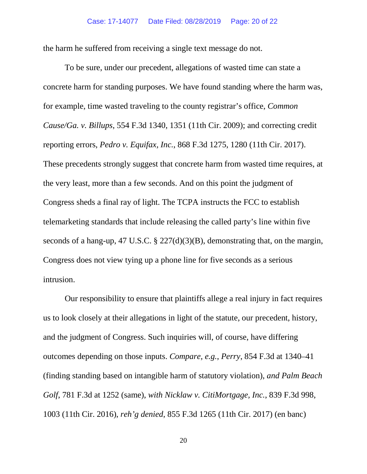the harm he suffered from receiving a single text message do not.

To be sure, under our precedent, allegations of wasted time can state a concrete harm for standing purposes. We have found standing where the harm was, for example, time wasted traveling to the county registrar's office, *Common Cause/Ga. v. Billups*, 554 F.3d 1340, 1351 (11th Cir. 2009); and correcting credit reporting errors, *Pedro v. Equifax, Inc.*, 868 F.3d 1275, 1280 (11th Cir. 2017). These precedents strongly suggest that concrete harm from wasted time requires, at the very least, more than a few seconds. And on this point the judgment of Congress sheds a final ray of light. The TCPA instructs the FCC to establish telemarketing standards that include releasing the called party's line within five seconds of a hang-up, 47 U.S.C. § 227(d)(3)(B), demonstrating that, on the margin, Congress does not view tying up a phone line for five seconds as a serious intrusion.

Our responsibility to ensure that plaintiffs allege a real injury in fact requires us to look closely at their allegations in light of the statute, our precedent, history, and the judgment of Congress. Such inquiries will, of course, have differing outcomes depending on those inputs. *Compare, e.g.*, *Perry*, 854 F.3d at 1340–41 (finding standing based on intangible harm of statutory violation), *and Palm Beach Golf*, 781 F.3d at 1252 (same), *with Nicklaw v. CitiMortgage, Inc.*, 839 F.3d 998, 1003 (11th Cir. 2016), *reh'g denied*, 855 F.3d 1265 (11th Cir. 2017) (en banc)

20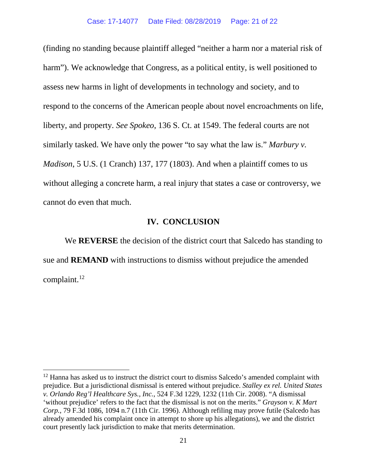(finding no standing because plaintiff alleged "neither a harm nor a material risk of harm"). We acknowledge that Congress, as a political entity, is well positioned to assess new harms in light of developments in technology and society, and to respond to the concerns of the American people about novel encroachments on life, liberty, and property. *See Spokeo*, 136 S. Ct. at 1549. The federal courts are not similarly tasked. We have only the power "to say what the law is." *Marbury v. Madison*, 5 U.S. (1 Cranch) 137, 177 (1803). And when a plaintiff comes to us without alleging a concrete harm, a real injury that states a case or controversy, we cannot do even that much.

### **IV. CONCLUSION**

We **REVERSE** the decision of the district court that Salcedo has standing to sue and **REMAND** with instructions to dismiss without prejudice the amended complaint. [12](#page-20-0)

<span id="page-20-0"></span> $12$  Hanna has asked us to instruct the district court to dismiss Salcedo's amended complaint with prejudice. But a jurisdictional dismissal is entered without prejudice. *Stalley ex rel. United States v. Orlando Reg'l Healthcare Sys., Inc.*, 524 F.3d 1229, 1232 (11th Cir. 2008). "A dismissal 'without prejudice' refers to the fact that the dismissal is not on the merits." *Grayson v. K Mart Corp.*, 79 F.3d 1086, 1094 n.7 (11th Cir. 1996). Although refiling may prove futile (Salcedo has already amended his complaint once in attempt to shore up his allegations), we and the district court presently lack jurisdiction to make that merits determination.